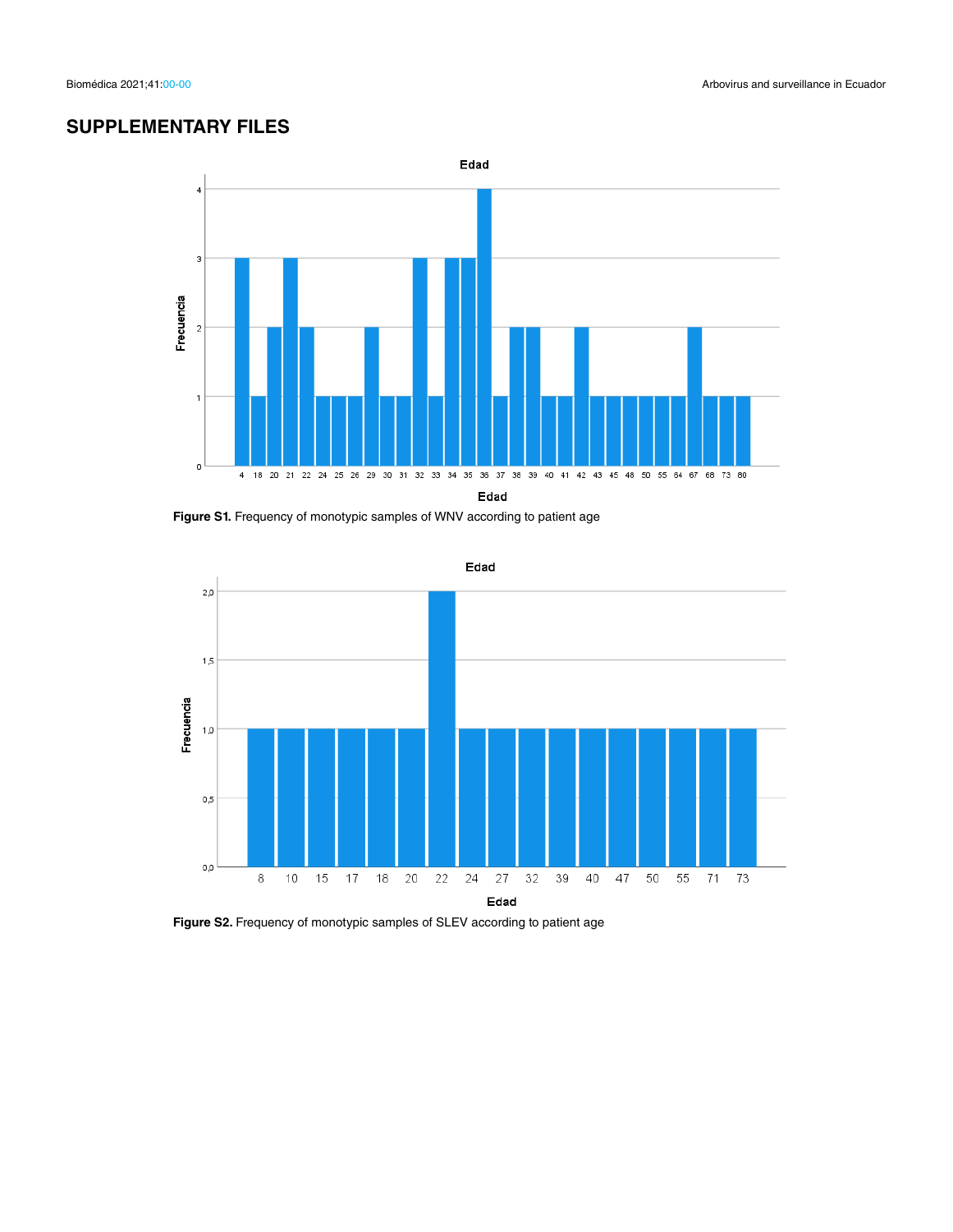## **SUPPLEMENTARY FILES**



**Figure S1.** Frequency of monotypic samples of WNV according to patient age



**Figure S2.** Frequency of monotypic samples of SLEV according to patient age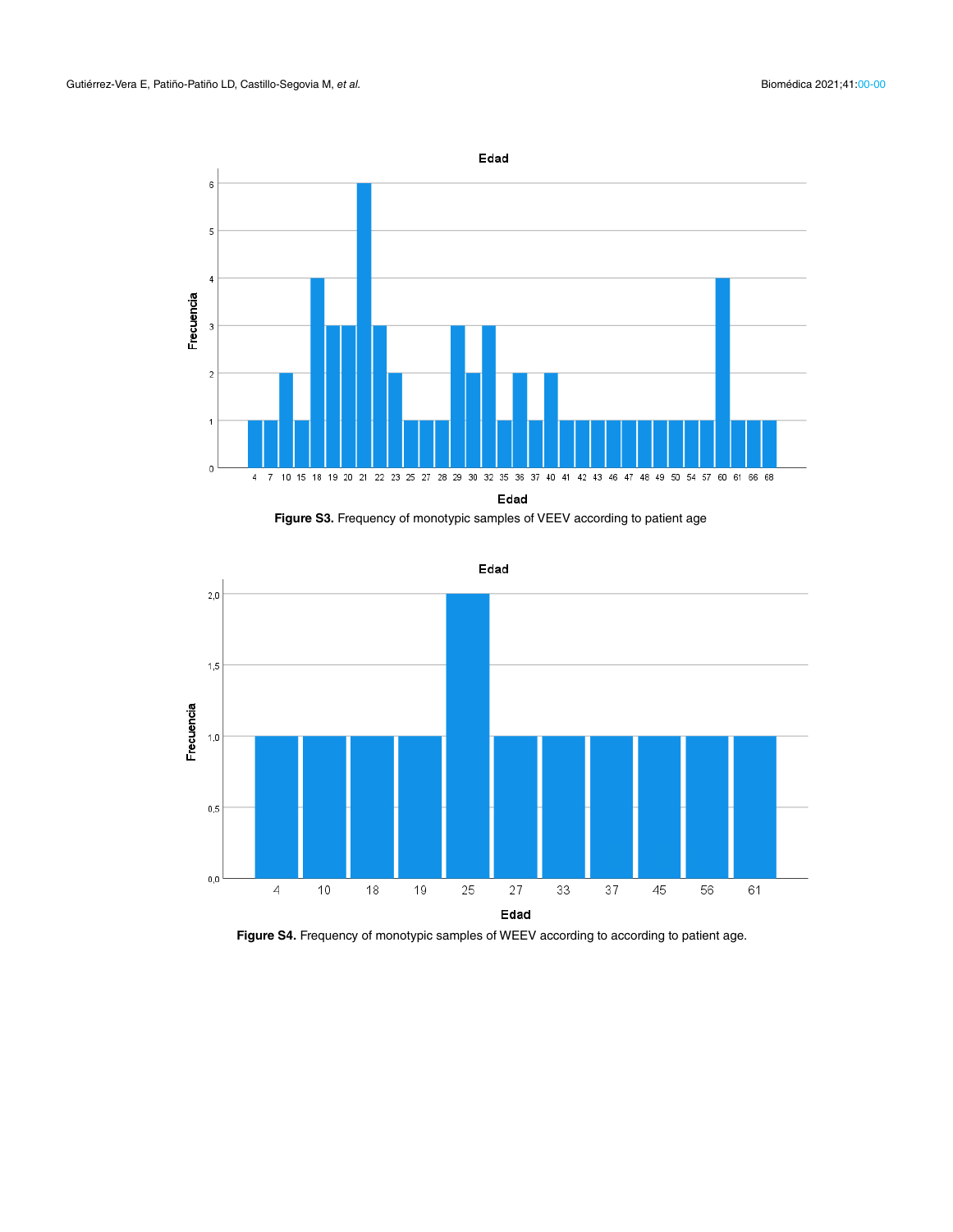

**Figure S3.** Frequency of monotypic samples of VEEV according to patient age



Edad

Figure S4. Frequency of monotypic samples of WEEV according to according to patient age.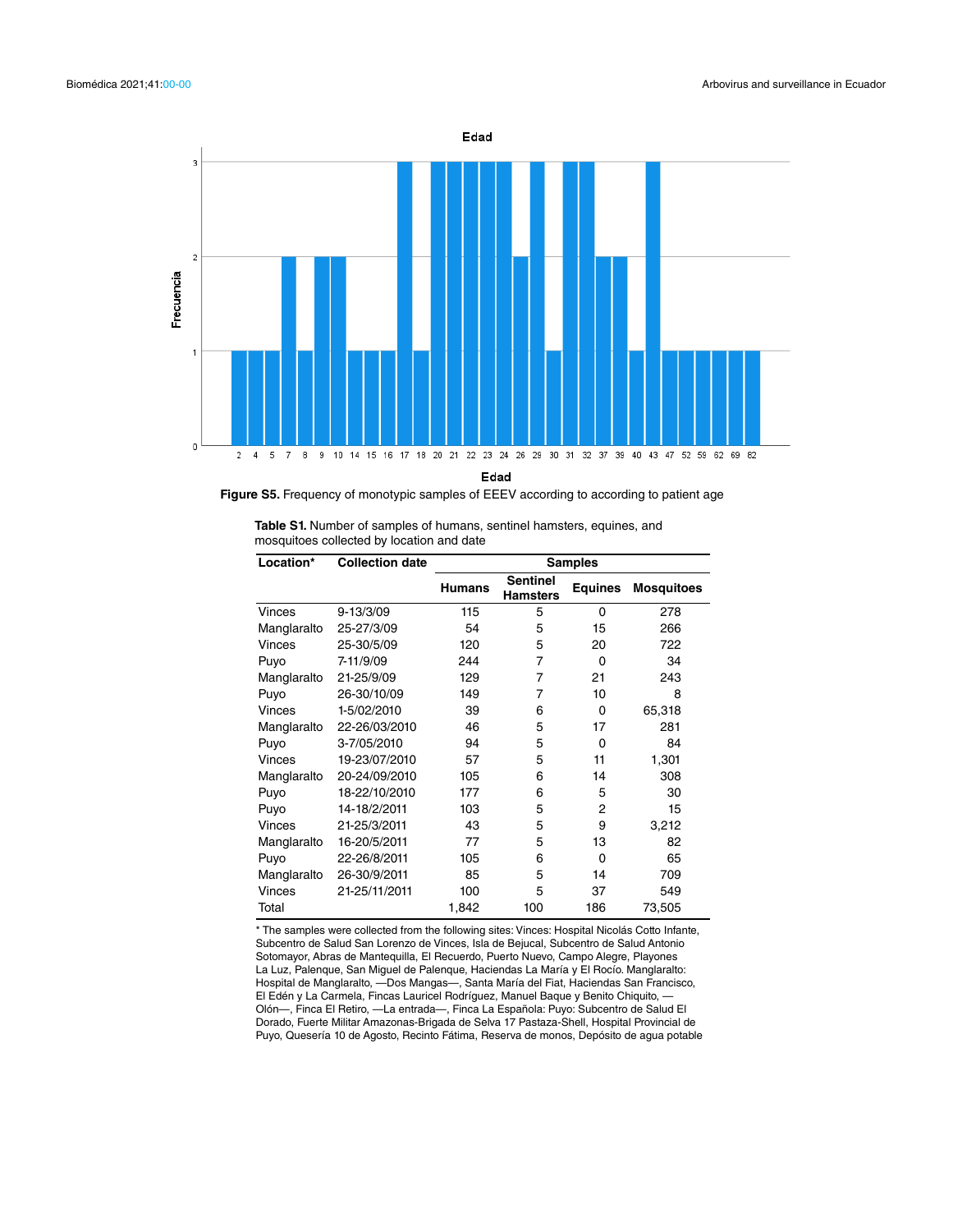

Edad

**Figure S5.** Frequency of monotypic samples of EEEV according to according to patient age

| <b>Table S1.</b> Number of samples of humans, sentinel hamsters, equines, and |  |
|-------------------------------------------------------------------------------|--|
| mosquitoes collected by location and date                                     |  |

| Location*   | <b>Collection date</b> | <b>Samples</b> |                                    |                |                   |  |  |  |  |  |
|-------------|------------------------|----------------|------------------------------------|----------------|-------------------|--|--|--|--|--|
|             |                        | <b>Humans</b>  | <b>Sentinel</b><br><b>Hamsters</b> | <b>Equines</b> | <b>Mosquitoes</b> |  |  |  |  |  |
| Vinces      | $9 - 13/3/09$          | 115            | 5                                  | 0              | 278               |  |  |  |  |  |
| Manglaralto | 25-27/3/09             | 54             | 5                                  | 15             | 266               |  |  |  |  |  |
| Vinces      | 25-30/5/09             | 120            | 5                                  | 20             | 722               |  |  |  |  |  |
| Puyo        | 7-11/9/09              | 244            | 7                                  | 0              | 34                |  |  |  |  |  |
| Manglaralto | 21-25/9/09             | 129            | 7                                  | 21             | 243               |  |  |  |  |  |
| Puyo        | 26-30/10/09            | 149            | 7                                  | 10             | 8                 |  |  |  |  |  |
| Vinces      | 1-5/02/2010            | 39             | 6                                  | $\Omega$       | 65,318            |  |  |  |  |  |
| Manglaralto | 22-26/03/2010          | 46             | 5                                  | 17             | 281               |  |  |  |  |  |
| Puyo        | 3-7/05/2010            | 94             | 5                                  | 0              | 84                |  |  |  |  |  |
| Vinces      | 19-23/07/2010          | 57             | 5                                  | 11             | 1,301             |  |  |  |  |  |
| Manglaralto | 20-24/09/2010          | 105            | 6                                  | 14             | 308               |  |  |  |  |  |
| Puyo        | 18-22/10/2010          | 177            | 6                                  | 5              | 30                |  |  |  |  |  |
| Puyo        | 14-18/2/2011           | 103            | 5                                  | 2              | 15                |  |  |  |  |  |
| Vinces      | 21-25/3/2011           | 43             | 5                                  | 9              | 3,212             |  |  |  |  |  |
| Manglaralto | 16-20/5/2011           | 77             | 5                                  | 13             | 82                |  |  |  |  |  |
| Puyo        | 22-26/8/2011           | 105            | 6                                  | 0              | 65                |  |  |  |  |  |
| Manglaralto | 26-30/9/2011           | 85             | 5                                  | 14             | 709               |  |  |  |  |  |
| Vinces      | 21-25/11/2011          | 100            | 5                                  | 37             | 549               |  |  |  |  |  |
| Total       |                        | 1,842          | 100                                | 186            | 73,505            |  |  |  |  |  |

\* The samples were collected from the following sites: Vinces: Hospital Nicolás Cotto Infante, Subcentro de Salud San Lorenzo de Vinces, Isla de Bejucal, Subcentro de Salud Antonio Sotomayor, Abras de Mantequilla, El Recuerdo, Puerto Nuevo, Campo Alegre, Playones La Luz, Palenque, San Miguel de Palenque, Haciendas La María y El Rocío. Manglaralto: Hospital de Manglaralto, —Dos Mangas—, Santa María del Fiat, Haciendas San Francisco, El Edén y La Carmela, Fincas Lauricel Rodríguez, Manuel Baque y Benito Chiquito, — Olón—, Finca El Retiro, —La entrada—, Finca La Española: Puyo: Subcentro de Salud El Dorado, Fuerte Militar Amazonas-Brigada de Selva 17 Pastaza-Shell, Hospital Provincial de Puyo, Quesería 10 de Agosto, Recinto Fátima, Reserva de monos, Depósito de agua potable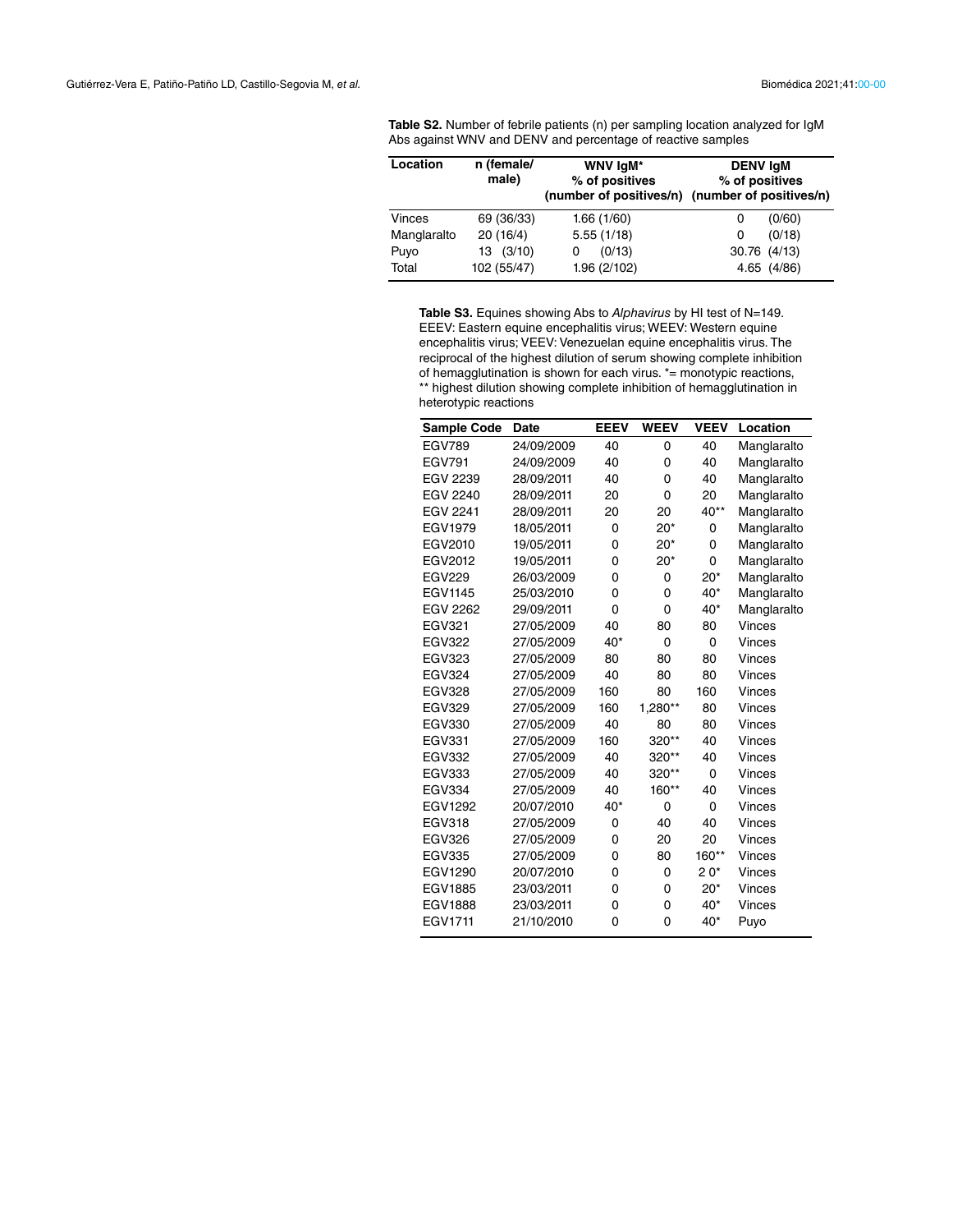| <b>Table S2.</b> Number of febrile patients (n) per sampling location analyzed for IgM |
|----------------------------------------------------------------------------------------|
| Abs against WNV and DENV and percentage of reactive samples                            |

| Location      | n (female/<br>male) | WNV IgM*<br>% of positives | <b>DENV IgM</b><br>% of positives<br>(number of positives/n) (number of positives/n) |
|---------------|---------------------|----------------------------|--------------------------------------------------------------------------------------|
| <b>Vinces</b> | 69 (36/33)          | 1.66(1/60)                 | (0/60)<br>0                                                                          |
| Manglaralto   | 20(16/4)            | 5.55(1/18)                 | (0/18)<br>0                                                                          |
| Puyo          | 13(3/10)            | (0/13)<br>0                | 30.76 (4/13)                                                                         |
| Total         | 102 (55/47)         | 1.96 (2/102)               | 4.65 (4/86)                                                                          |

**Table S3.** Equines showing Abs to *Alphavirus* by HI test of N=149. EEEV: Eastern equine encephalitis virus; WEEV: Western equine encephalitis virus; VEEV: Venezuelan equine encephalitis virus. The reciprocal of the highest dilution of serum showing complete inhibition of hemagglutination is shown for each virus. \*= monotypic reactions, \*\* highest dilution showing complete inhibition of hemagglutination in heterotypic reactions

| <b>Sample Code</b> | <b>Date</b> | <b>EEEV</b> | <b>WEEV</b> | <b>VEEV</b> | Location    |
|--------------------|-------------|-------------|-------------|-------------|-------------|
| <b>EGV789</b>      | 24/09/2009  | 40          | 0           | 40          | Manglaralto |
| <b>EGV791</b>      | 24/09/2009  | 40          | 0           | 40          | Manglaralto |
| <b>EGV 2239</b>    | 28/09/2011  | 40          | 0           | 40          | Manglaralto |
| <b>EGV 2240</b>    | 28/09/2011  | 20          | $\mathbf 0$ | 20          | Manglaralto |
| <b>EGV 2241</b>    | 28/09/2011  | 20          | 20          | 40**        | Manglaralto |
| <b>EGV1979</b>     | 18/05/2011  | 0           | $20*$       | 0           | Manglaralto |
| EGV2010            | 19/05/2011  | 0           | $20*$       | 0           | Manglaralto |
| EGV2012            | 19/05/2011  | 0           | $20*$       | $\Omega$    | Manglaralto |
| <b>EGV229</b>      | 26/03/2009  | 0           | 0           | $20*$       | Manglaralto |
| <b>EGV1145</b>     | 25/03/2010  | 0           | $\mathbf 0$ | $40*$       | Manglaralto |
| EGV 2262           | 29/09/2011  | 0           | $\mathbf 0$ | 40*         | Manglaralto |
| <b>EGV321</b>      | 27/05/2009  | 40          | 80          | 80          | Vinces      |
| <b>EGV322</b>      | 27/05/2009  | 40*         | $\mathbf 0$ | 0           | Vinces      |
| <b>EGV323</b>      | 27/05/2009  | 80          | 80          | 80          | Vinces      |
| <b>EGV324</b>      | 27/05/2009  | 40          | 80          | 80          | Vinces      |
| <b>EGV328</b>      | 27/05/2009  | 160         | 80          | 160         | Vinces      |
| <b>EGV329</b>      | 27/05/2009  | 160         | $1,280**$   | 80          | Vinces      |
| <b>EGV330</b>      | 27/05/2009  | 40          | 80          | 80          | Vinces      |
| <b>EGV331</b>      | 27/05/2009  | 160         | 320**       | 40          | Vinces      |
| <b>EGV332</b>      | 27/05/2009  | 40          | 320**       | 40          | Vinces      |
| <b>EGV333</b>      | 27/05/2009  | 40          | 320**       | 0           | Vinces      |
| <b>EGV334</b>      | 27/05/2009  | 40          | 160**       | 40          | Vinces      |
| EGV1292            | 20/07/2010  | 40*         | 0           | 0           | Vinces      |
| <b>EGV318</b>      | 27/05/2009  | 0           | 40          | 40          | Vinces      |
| <b>EGV326</b>      | 27/05/2009  | 0           | 20          | 20          | Vinces      |
| <b>EGV335</b>      | 27/05/2009  | 0           | 80          | 160**       | Vinces      |
| <b>EGV1290</b>     | 20/07/2010  | 0           | 0           | $20*$       | Vinces      |
| <b>EGV1885</b>     | 23/03/2011  | 0           | 0           | $20*$       | Vinces      |
| <b>EGV1888</b>     | 23/03/2011  | 0           | 0           | 40*         | Vinces      |
| EGV1711            | 21/10/2010  | 0           | $\mathbf 0$ | $40*$       | Puyo        |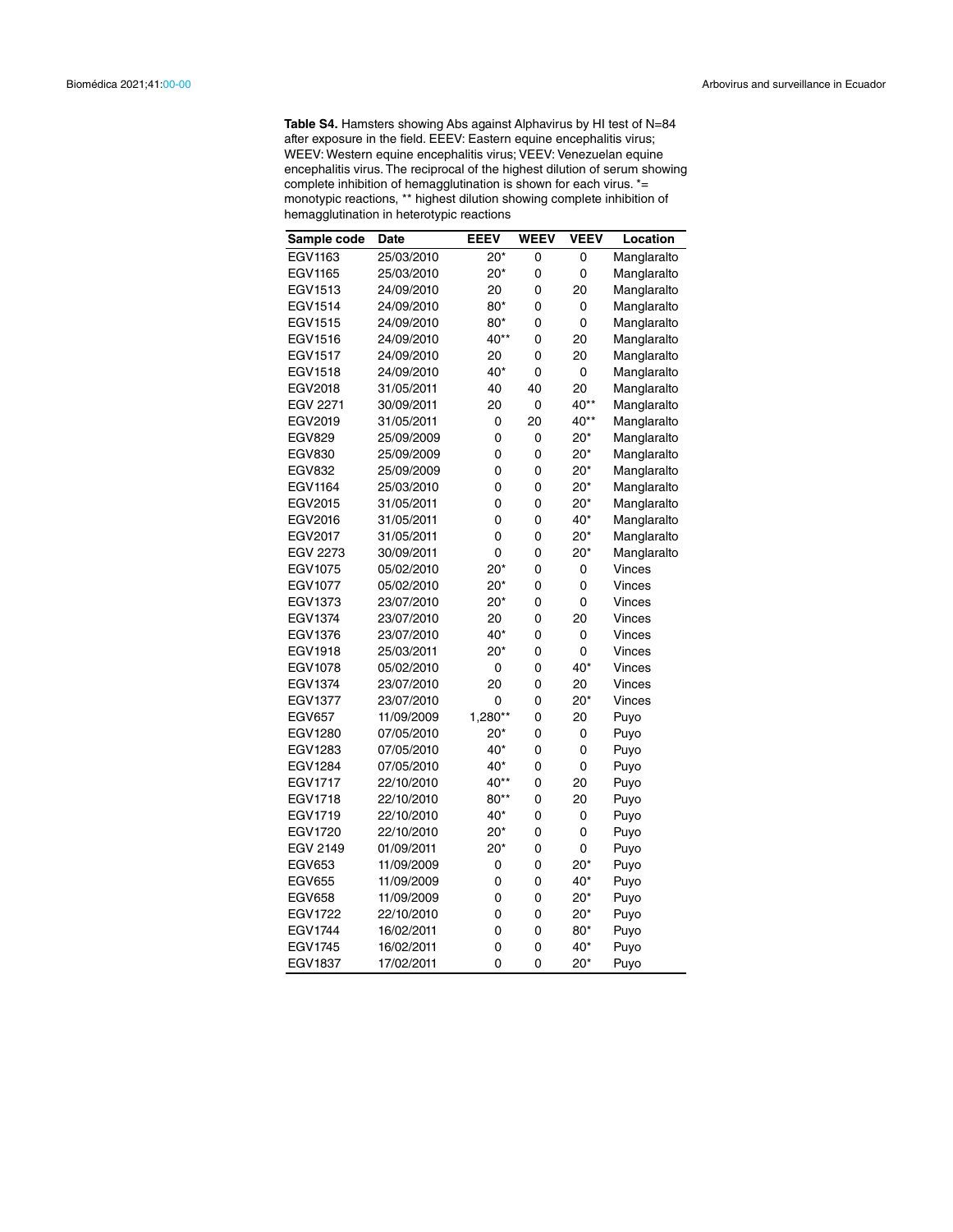**Table S4.** Hamsters showing Abs against Alphavirus by HI test of N=84 after exposure in the field. EEEV: Eastern equine encephalitis virus; WEEV: Western equine encephalitis virus; VEEV: Venezuelan equine encephalitis virus. The reciprocal of the highest dilution of serum showing complete inhibition of hemagglutination is shown for each virus. \*= monotypic reactions, \*\* highest dilution showing complete inhibition of hemagglutination in heterotypic reactions

| Sample code     | Date       | <b>EEEV</b> | <b>WEEV</b> | <b>VEEV</b> | Location    |
|-----------------|------------|-------------|-------------|-------------|-------------|
| EGV1163         | 25/03/2010 | $20*$       | 0           | 0           | Manglaralto |
| EGV1165         | 25/03/2010 | $20*$       | 0           | 0           | Manglaralto |
| EGV1513         | 24/09/2010 | 20          | 0           | 20          | Manglaralto |
| EGV1514         | 24/09/2010 | 80*         | 0           | 0           | Manglaralto |
| EGV1515         | 24/09/2010 | 80*         | 0           | 0           | Manglaralto |
| EGV1516         | 24/09/2010 | 40**        | 0           | 20          | Manglaralto |
| EGV1517         | 24/09/2010 | 20          | 0           | 20          | Manglaralto |
| EGV1518         | 24/09/2010 | 40*         | 0           | 0           | Manglaralto |
| EGV2018         | 31/05/2011 | 40          | 40          | 20          | Manglaralto |
| <b>EGV 2271</b> | 30/09/2011 | 20          | 0           | 40**        | Manglaralto |
| EGV2019         | 31/05/2011 | 0           | 20          | 40**        | Manglaralto |
| <b>EGV829</b>   | 25/09/2009 | 0           | 0           | $20*$       | Manglaralto |
| <b>EGV830</b>   | 25/09/2009 | 0           | 0           | $20*$       | Manglaralto |
| <b>EGV832</b>   | 25/09/2009 | 0           | 0           | $20*$       | Manglaralto |
| EGV1164         | 25/03/2010 | 0           | 0           | $20*$       | Manglaralto |
| EGV2015         | 31/05/2011 | 0           | 0           | $20*$       | Manglaralto |
| EGV2016         | 31/05/2011 | 0           | 0           | 40*         | Manglaralto |
| EGV2017         | 31/05/2011 | 0           | 0           | $20*$       | Manglaralto |
| <b>EGV 2273</b> | 30/09/2011 | 0           | 0           | $20*$       | Manglaralto |
| EGV1075         | 05/02/2010 | $20*$       | 0           | 0           | Vinces      |
| <b>EGV1077</b>  | 05/02/2010 | $20*$       | 0           | 0           | Vinces      |
| EGV1373         | 23/07/2010 | $20*$       | 0           | 0           | Vinces      |
| <b>EGV1374</b>  | 23/07/2010 | 20          | 0           | 20          | Vinces      |
| EGV1376         | 23/07/2010 | 40*         | 0           | 0           | Vinces      |
| EGV1918         | 25/03/2011 | $20*$       | 0           | 0           | Vinces      |
| EGV1078         | 05/02/2010 | 0           | 0           | 40*         | Vinces      |
| EGV1374         | 23/07/2010 | 20          | 0           | 20          | Vinces      |
| <b>EGV1377</b>  | 23/07/2010 | 0           | 0           | $20*$       | Vinces      |
| <b>EGV657</b>   | 11/09/2009 | 1,280**     | 0           | 20          | Puyo        |
| EGV1280         | 07/05/2010 | $20*$       | 0           | 0           | Puyo        |
| EGV1283         | 07/05/2010 | 40*         | 0           | 0           | Puyo        |
| EGV1284         | 07/05/2010 | 40*         | 0           | 0           | Puyo        |
| EGV1717         | 22/10/2010 | 40**        | 0           | 20          | Puyo        |
| EGV1718         | 22/10/2010 | 80**        | 0           | 20          | Puyo        |
| EGV1719         | 22/10/2010 | 40*         | 0           | 0           | Puyo        |
| EGV1720         | 22/10/2010 | $20*$       | 0           | 0           | Puyo        |
| EGV 2149        | 01/09/2011 | $20*$       | 0           | 0           | Puyo        |
| EGV653          | 11/09/2009 | 0           | 0           | $20*$       | Puyo        |
| <b>EGV655</b>   | 11/09/2009 | 0           | 0           | 40*         | Puyo        |
| <b>EGV658</b>   | 11/09/2009 | 0           | 0           | $20*$       | Puyo        |
| EGV1722         | 22/10/2010 | 0           | 0           | $20*$       | Puyo        |
| EGV1744         | 16/02/2011 | 0           | 0           | 80*         | Puyo        |
| EGV1745         | 16/02/2011 | 0           | 0           | 40*         | Puyo        |
| <b>EGV1837</b>  | 17/02/2011 | $\Omega$    | 0           | $20*$       | Puyo        |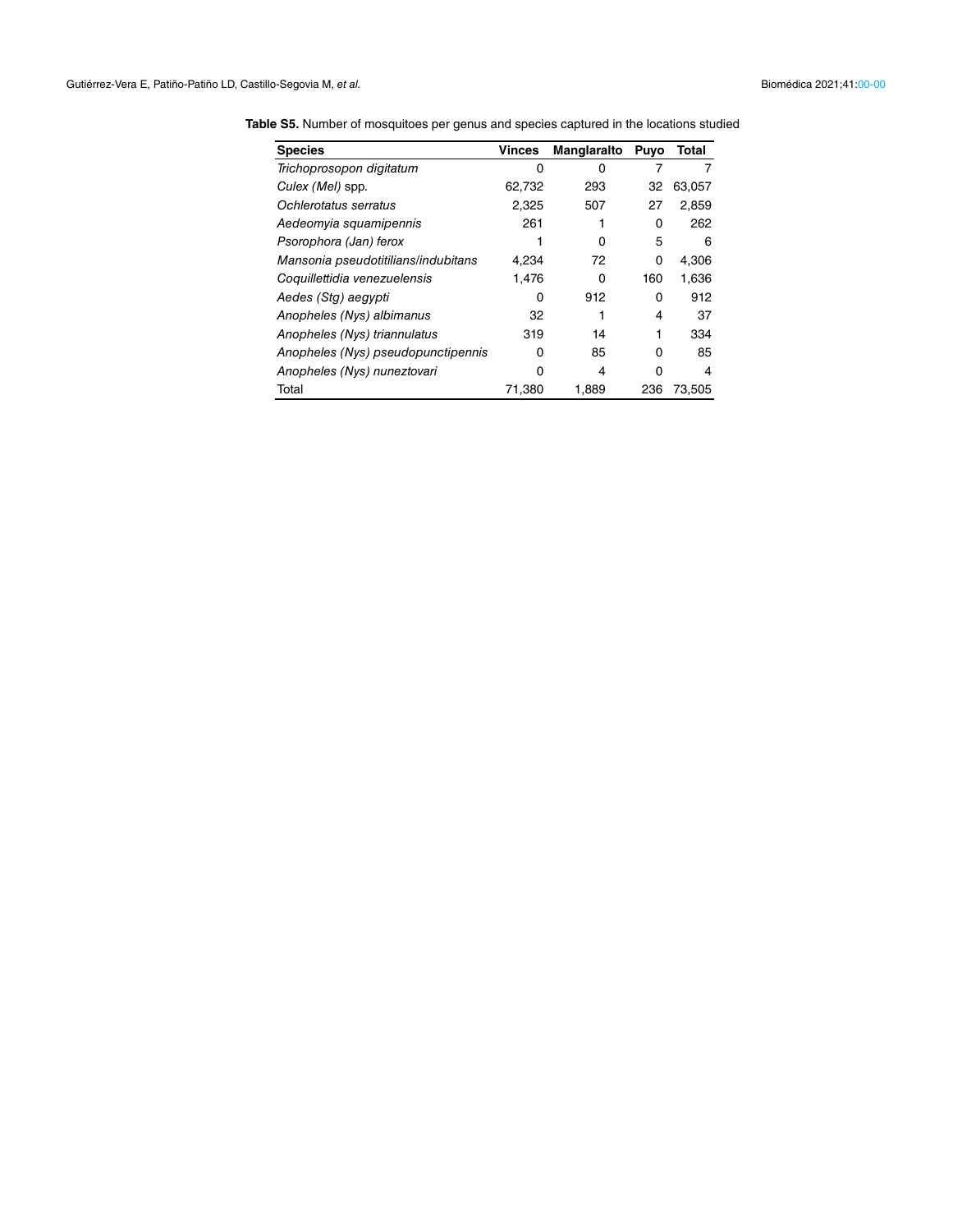| <b>Species</b>                      | <b>Vinces</b> | Manglaralto | Puyo | Total  |
|-------------------------------------|---------------|-------------|------|--------|
| Trichoprosopon digitatum            | $\Omega$      | n           |      |        |
| Culex (Mel) spp.                    | 62,732        | 293         | 32   | 63,057 |
| Ochlerotatus serratus               | 2,325         | 507         | 27   | 2,859  |
| Aedeomyia squamipennis              | 261           |             | 0    | 262    |
| Psorophora (Jan) ferox              |               | O           | 5    | 6      |
| Mansonia pseudotitilians/indubitans | 4,234         | 72          | 0    | 4,306  |
| Coquillettidia venezuelensis        | 1.476         | 0           | 160  | 1,636  |
| Aedes (Stg) aegypti                 | 0             | 912         | 0    | 912    |
| Anopheles (Nys) albimanus           | 32            |             | 4    | 37     |
| Anopheles (Nys) triannulatus        | 319           | 14          |      | 334    |
| Anopheles (Nys) pseudopunctipennis  | ŋ             | 85          | 0    | 85     |
| Anopheles (Nys) nuneztovari         | O             | 4           | ი    | 4      |
| Total                               | 71,380        | 1,889       | 236  | 73,505 |

**Table S5.** Number of mosquitoes per genus and species captured in the locations studied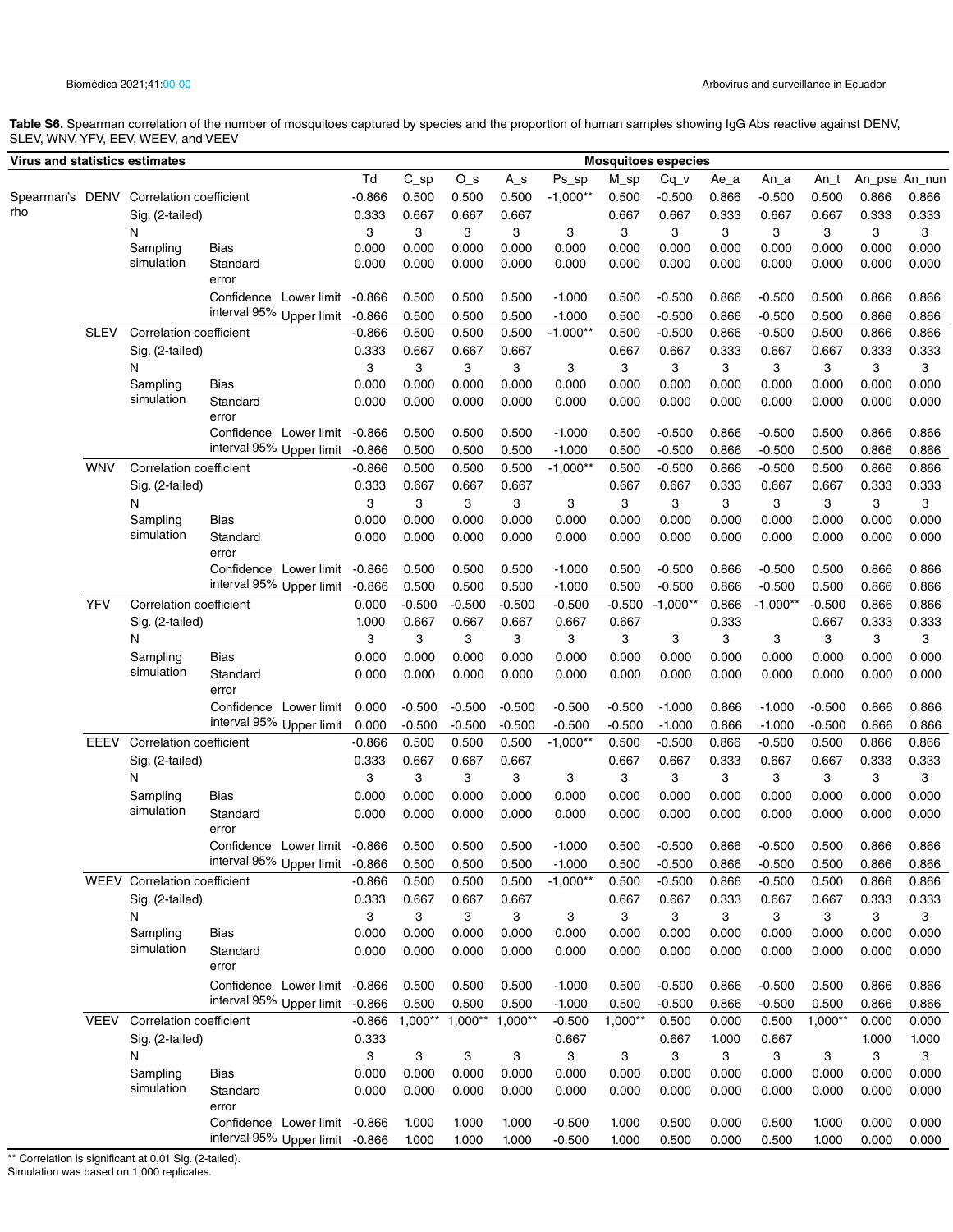**Table S6.** Spearman correlation of the number of mosquitoes captured by species and the proportion of human samples showing IgG Abs reactive against DENV, SLEV, WNV, YFV, EEV, WEEV, and VEEV

| Virus and statistics estimates |             |                                         |                                                           |            |                           |                   |                   |                      |                     | <b>Mosquitoes especies</b> |                |                        |                   |                |                |
|--------------------------------|-------------|-----------------------------------------|-----------------------------------------------------------|------------|---------------------------|-------------------|-------------------|----------------------|---------------------|----------------------------|----------------|------------------------|-------------------|----------------|----------------|
|                                |             |                                         |                                                           | Td         | $C_sp$                    | $O_s$             | $A_s$             | Ps_sp                | $M$ <sub>_</sub> sp | $Cq_v$                     | Ae_a           | $An_a$                 | $An_t$            |                | An pse An nun  |
|                                |             | Spearman's DENV Correlation coefficient |                                                           | $-0.866$   | 0.500                     | 0.500             | 0.500             | $-1,000**$           | 0.500               | $-0.500$                   | 0.866          | $-0.500$               | 0.500             | 0.866          | 0.866          |
| rho                            |             | Sig. (2-tailed)                         |                                                           | 0.333      | 0.667                     | 0.667             | 0.667             |                      | 0.667               | 0.667                      | 0.333          | 0.667                  | 0.667             | 0.333          | 0.333          |
|                                |             | N                                       |                                                           | 3          | 3                         | 3                 | 3                 | 3                    | 3                   | 3                          | 3              | 3                      | 3                 | 3              | 3              |
|                                |             | Sampling                                | Bias                                                      | 0.000      | 0.000                     | 0.000             | 0.000             | 0.000                | 0.000               | 0.000                      | 0.000          | 0.000                  | 0.000             | 0.000          | 0.000          |
|                                |             | simulation                              | Standard<br>error                                         | 0.000      | 0.000                     | 0.000             | 0.000             | 0.000                | 0.000               | 0.000                      | 0.000          | 0.000                  | 0.000             | 0.000          | 0.000          |
|                                |             |                                         | Confidence Lower limit -0.866                             |            | 0.500                     | 0.500             | 0.500             | $-1.000$             | 0.500               | $-0.500$                   | 0.866          | $-0.500$               | 0.500             | 0.866          | 0.866          |
|                                |             |                                         | interval 95% Upper limit -0.866                           |            | 0.500                     | 0.500             | 0.500             | $-1.000$             | 0.500               | $-0.500$                   | 0.866          | $-0.500$               | 0.500             | 0.866          | 0.866          |
|                                | <b>SLEV</b> | <b>Correlation coefficient</b>          |                                                           | $-0.866$   | 0.500                     | 0.500             | 0.500             | $-1,000**$           | 0.500               | $-0.500$                   | 0.866          | $-0.500$               | 0.500             | 0.866          | 0.866          |
|                                |             | Sig. (2-tailed)                         |                                                           | 0.333      | 0.667                     | 0.667             | 0.667             |                      | 0.667               | 0.667                      | 0.333          | 0.667                  | 0.667             | 0.333          | 0.333          |
|                                |             | N                                       |                                                           | 3          | 3                         | 3                 | 3                 | 3                    | 3                   | 3                          | 3              | 3                      | 3                 | 3              | 3              |
|                                |             | Sampling<br>simulation                  | Bias                                                      | 0.000      | 0.000                     | 0.000             | 0.000             | 0.000                | 0.000               | 0.000                      | 0.000          | 0.000                  | 0.000             | 0.000          | 0.000          |
|                                |             |                                         | Standard<br>error                                         | 0.000      | 0.000                     | 0.000             | 0.000             | 0.000                | 0.000               | 0.000                      | 0.000          | 0.000                  | 0.000             | 0.000          | 0.000          |
|                                |             |                                         | Confidence Lower limit                                    | $-0.866$   | 0.500                     | 0.500             | 0.500             | $-1.000$             | 0.500               | $-0.500$                   | 0.866          | $-0.500$               | 0.500             | 0.866          | 0.866          |
|                                |             |                                         | interval 95% Upper limit                                  | $-0.866$   | 0.500                     | 0.500             | 0.500             | $-1.000$             | 0.500               | $-0.500$                   | 0.866          | $-0.500$               | 0.500             | 0.866          | 0.866          |
|                                | <b>WNV</b>  | Correlation coefficient                 |                                                           | $-0.866$   | 0.500                     | 0.500             | 0.500             | $-1,000**$           | 0.500               | $-0.500$                   | 0.866          | $-0.500$               | 0.500             | 0.866          | 0.866          |
|                                |             | Sig. (2-tailed)                         |                                                           | 0.333      | 0.667                     | 0.667             | 0.667             |                      | 0.667               | 0.667                      | 0.333          | 0.667                  | 0.667             | 0.333          | 0.333          |
|                                |             | N<br>Sampling                           | Bias                                                      | 3<br>0.000 | 3<br>0.000                | 3<br>0.000        | 3<br>0.000        | 3<br>0.000           | 3<br>0.000          | 3<br>0.000                 | 3<br>0.000     | 3<br>0.000             | 3<br>0.000        | 3<br>0.000     | 3<br>0.000     |
|                                |             | simulation                              | Standard                                                  | 0.000      | 0.000                     | 0.000             | 0.000             |                      | 0.000               | 0.000                      | 0.000          | 0.000                  | 0.000             | 0.000          | 0.000          |
|                                |             |                                         | error                                                     |            |                           |                   |                   | 0.000                |                     |                            |                |                        |                   |                |                |
|                                |             |                                         | Confidence Lower limit<br>interval 95% Upper limit -0.866 | $-0.866$   | 0.500                     | 0.500             | 0.500             | $-1.000$             | 0.500               | $-0.500$                   | 0.866          | $-0.500$               | 0.500             | 0.866          | 0.866          |
|                                | <b>YFV</b>  | Correlation coefficient                 |                                                           | 0.000      | 0.500<br>$-0.500$         | 0.500<br>$-0.500$ | 0.500<br>$-0.500$ | $-1.000$<br>$-0.500$ | 0.500<br>$-0.500$   | $-0.500$<br>$-1,000**$     | 0.866<br>0.866 | $-0.500$<br>$-1,000**$ | 0.500<br>$-0.500$ | 0.866<br>0.866 | 0.866<br>0.866 |
|                                |             | Sig. (2-tailed)                         |                                                           | 1.000      | 0.667                     | 0.667             | 0.667             | 0.667                | 0.667               |                            | 0.333          |                        | 0.667             | 0.333          | 0.333          |
|                                |             | N                                       |                                                           | 3          | 3                         | 3                 | 3                 | 3                    | 3                   | 3                          | 3              | 3                      | 3                 | 3              | 3              |
|                                |             | Sampling                                | Bias                                                      | 0.000      | 0.000                     | 0.000             | 0.000             | 0.000                | 0.000               | 0.000                      | 0.000          | 0.000                  | 0.000             | 0.000          | 0.000          |
|                                |             | simulation                              | Standard                                                  | 0.000      | 0.000                     | 0.000             | 0.000             | 0.000                | 0.000               | 0.000                      | 0.000          | 0.000                  | 0.000             | 0.000          | 0.000          |
|                                |             |                                         | error                                                     |            |                           |                   |                   |                      |                     |                            |                |                        |                   |                |                |
|                                |             |                                         | Confidence Lower limit                                    | 0.000      | $-0.500$                  | $-0.500$          | $-0.500$          | $-0.500$             | $-0.500$            | $-1.000$                   | 0.866          | $-1.000$               | $-0.500$          | 0.866          | 0.866          |
|                                |             |                                         | interval 95% Upper limit                                  | 0.000      | $-0.500$                  | $-0.500$          | $-0.500$          | $-0.500$             | $-0.500$            | $-1.000$                   | 0.866          | $-1.000$               | $-0.500$          | 0.866          | 0.866          |
|                                | <b>EEEV</b> | Correlation coefficient                 |                                                           | $-0.866$   | 0.500                     | 0.500             | 0.500             | $-1,000**$           | 0.500               | $-0.500$                   | 0.866          | $-0.500$               | 0.500             | 0.866          | 0.866          |
|                                |             | Sig. (2-tailed)                         |                                                           | 0.333      | 0.667                     | 0.667             | 0.667             |                      | 0.667               | 0.667                      | 0.333          | 0.667                  | 0.667             | 0.333          | 0.333          |
|                                |             | N                                       |                                                           | 3          | 3                         | 3                 | 3                 | 3                    | 3                   | 3                          | 3              | 3                      | 3                 | 3              | 3              |
|                                |             | Sampling<br>simulation                  | Bias                                                      | 0.000      | 0.000                     | 0.000             | 0.000             | 0.000                | 0.000               | 0.000                      | 0.000          | 0.000                  | 0.000             | 0.000          | 0.000          |
|                                |             |                                         | Standard<br>error                                         | 0.000      | 0.000                     | 0.000             | 0.000             | 0.000                | 0.000               | 0.000                      | 0.000          | 0.000                  | 0.000             | 0.000          | 0.000          |
|                                |             |                                         | Confidence Lower limit -0.866 0.500 0.500                 |            |                           |                   | 0.500             | $-1.000$             | 0.500               | $-0.500$ 0.866             |                | $-0.500$               | 0.500             | 0.866          | 0.866          |
|                                |             |                                         | interval 95% Upper limit -0.866                           |            | 0.500                     | 0.500             | 0.500             | $-1.000$             | 0.500               | $-0.500$                   | 0.866          | $-0.500$               | 0.500             | 0.866          | 0.866          |
|                                |             | WEEV Correlation coefficient            |                                                           | $-0.866$   | 0.500                     | 0.500             | 0.500             | $-1,000**$           | 0.500               | $-0.500$                   | 0.866          | $-0.500$               | 0.500             | 0.866          | 0.866          |
|                                |             | Sig. (2-tailed)                         |                                                           | 0.333      | 0.667                     | 0.667             | 0.667             |                      | 0.667               | 0.667                      | 0.333          | 0.667                  | 0.667             | 0.333          | 0.333          |
|                                |             | N                                       |                                                           | 3          | 3                         | 3                 | 3                 | 3                    | 3                   | 3                          | 3              | 3                      | 3                 | 3              | 3              |
|                                |             | Sampling                                | <b>Bias</b>                                               | 0.000      | 0.000                     | 0.000             | 0.000             | 0.000                | 0.000               | 0.000                      | 0.000          | 0.000                  | 0.000             | 0.000          | 0.000          |
|                                |             | simulation                              | Standard<br>error                                         | 0.000      | 0.000                     | 0.000             | 0.000             | 0.000                | 0.000               | 0.000                      | 0.000          | 0.000                  | 0.000             | 0.000          | 0.000          |
|                                |             |                                         | Confidence Lower limit -0.866                             |            | 0.500                     | 0.500             | 0.500             | $-1.000$             | 0.500               | $-0.500$                   | 0.866          | $-0.500$               | 0.500             | 0.866          | 0.866          |
|                                |             |                                         | interval 95% Upper limit                                  | $-0.866$   | 0.500                     | 0.500             | 0.500             | $-1.000$             | 0.500               | $-0.500$                   | 0.866          | $-0.500$               | 0.500             | 0.866          | 0.866          |
|                                |             | VEEV Correlation coefficient            |                                                           | $-0.866$   | $1,000**$                 | $1,000**$         | $1,000**$         | $-0.500$             | $1,000**$           | 0.500                      | 0.000          | 0.500                  | $1,000**$         | 0.000          | 0.000          |
|                                |             | Sig. (2-tailed)                         |                                                           | 0.333      |                           |                   |                   | 0.667                |                     | 0.667                      | 1.000          | 0.667                  |                   | 1.000          | 1.000          |
|                                |             | N                                       |                                                           | 3          | $\ensuremath{\mathsf{3}}$ | 3                 | 3                 | 3                    | 3                   | 3                          | 3              | 3                      | 3                 | 3              | 3              |
|                                |             | Sampling                                | Bias                                                      | 0.000      | 0.000                     | 0.000             | 0.000             | 0.000                | 0.000               | 0.000                      | 0.000          | 0.000                  | 0.000             | 0.000          | 0.000          |
|                                |             | simulation                              | Standard<br>error                                         | 0.000      | 0.000                     | 0.000             | 0.000             | 0.000                | 0.000               | 0.000                      | 0.000          | 0.000                  | 0.000             | 0.000          | 0.000          |
|                                |             |                                         | Confidence Lower limit -0.866                             |            | 1.000                     | 1.000             | 1.000             | $-0.500$             | 1.000               | 0.500                      | 0.000          | 0.500                  | 1.000             | 0.000          | 0.000          |
|                                |             |                                         | interval 95% Upper limit -0.866                           |            | 1.000                     | 1.000             | 1.000             | $-0.500$             | 1.000               | 0.500                      | 0.000          | 0.500                  | 1.000             | 0.000          | 0.000          |

\*\* Correlation is significant at 0,01 Sig. (2-tailed).

Simulation was based on 1,000 replicates.